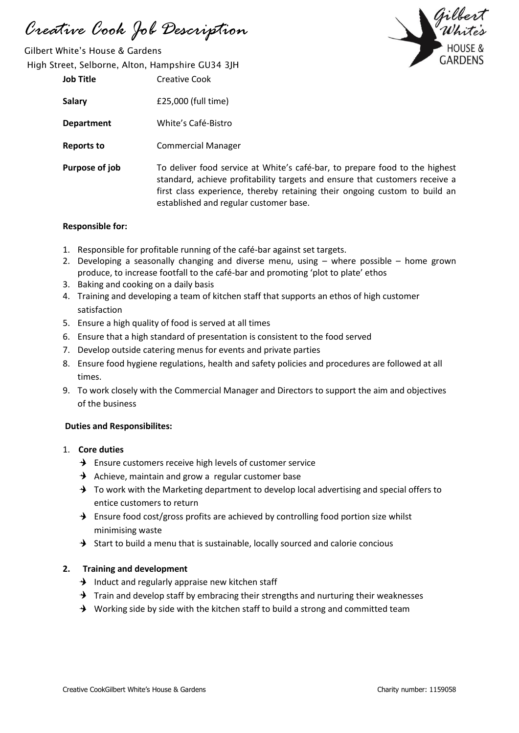*Creative Cook Job Description*

Gilbert White's House & Gardens High Street, Selborne, Alton, Hampshire GU34 3JH

| <b>Job Title</b> | Creative Cook                                                                           |
|------------------|-----------------------------------------------------------------------------------------|
| <b>Salary</b>    | £25,000 (full time)                                                                     |
| Department       | White's Café-Bistro                                                                     |
| Reports to       | <b>Commercial Manager</b>                                                               |
| Purpose of job   | To deliver food service at<br>standard, achieve profital<br>first class experience, the |

White's café-bar, to prepare food to the highest bility targets and ensure that customers receive a ereby retaining their ongoing custom to build an established and regular customer base.

### **Responsible for:**

- 1. Responsible for profitable running of the café-bar against set targets.
- 2. Developing a seasonally changing and diverse menu, using where possible home grown produce, to increase footfall to the café-bar and promoting 'plot to plate' ethos
- 3. Baking and cooking on a daily basis
- 4. Training and developing a team of kitchen staff that supports an ethos of high customer satisfaction
- 5. Ensure a high quality of food is served at all times
- 6. Ensure that a high standard of presentation is consistent to the food served
- 7. Develop outside catering menus for events and private parties
- 8. Ensure food hygiene regulations, health and safety policies and procedures are followed at all times.
- 9. To work closely with the Commercial Manager and Directors to support the aim and objectives of the business

### **Duties and Responsibilites:**

- 1. **Core duties**
	- $\rightarrow$  Ensure customers receive high levels of customer service
	- Achieve, maintain and grow a regular customer base
	- $\rightarrow$  To work with the Marketing department to develop local advertising and special offers to entice customers to return
	- $\rightarrow$  Ensure food cost/gross profits are achieved by controlling food portion size whilst minimising waste
	- $\rightarrow$  Start to build a menu that is sustainable, locally sourced and calorie concious

### **2. Training and development**

- $\rightarrow$  Induct and regularly appraise new kitchen staff
- $\rightarrow$  Train and develop staff by embracing their strengths and nurturing their weaknesses
- $\rightarrow$  Working side by side with the kitchen staff to build a strong and committed team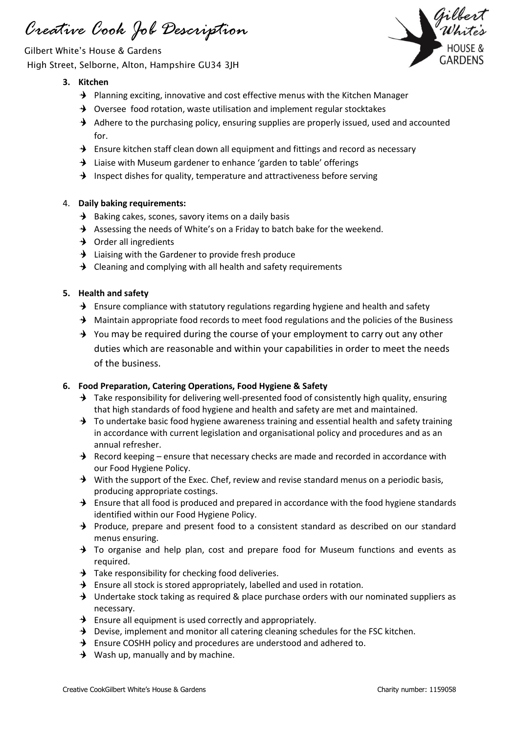*Creative Cook Job Description*

Gilbert White's House & Gardens High Street, Selborne, Alton, Hampshire GU34 3JH



# **3. Kitchen**

- $\rightarrow$  Planning exciting, innovative and cost effective menus with the Kitchen Manager
- $\rightarrow$  Oversee food rotation, waste utilisation and implement regular stocktakes
- $\rightarrow$  Adhere to the purchasing policy, ensuring supplies are properly issued, used and accounted for.
- $\rightarrow$  Ensure kitchen staff clean down all equipment and fittings and record as necessary
- $\rightarrow$  Liaise with Museum gardener to enhance 'garden to table' offerings
- $\rightarrow$  Inspect dishes for quality, temperature and attractiveness before serving

## 4. **Daily baking requirements:**

- $\rightarrow$  Baking cakes, scones, savory items on a daily basis
- $\rightarrow$  Assessing the needs of White's on a Friday to batch bake for the weekend.
- $\rightarrow$  Order all ingredients
- $\rightarrow$  Liaising with the Gardener to provide fresh produce
- $\rightarrow$  Cleaning and complying with all health and safety requirements

### **5. Health and safety**

- $\rightarrow$  Ensure compliance with statutory regulations regarding hygiene and health and safety
- $\rightarrow$  Maintain appropriate food records to meet food regulations and the policies of the Business
- $\rightarrow$  You may be required during the course of your employment to carry out any other duties which are reasonable and within your capabilities in order to meet the needs of the business.

### **6. Food Preparation, Catering Operations, Food Hygiene & Safety**

- $\rightarrow$  Take responsibility for delivering well-presented food of consistently high quality, ensuring that high standards of food hygiene and health and safety are met and maintained.
- $\rightarrow$  To undertake basic food hygiene awareness training and essential health and safety training in accordance with current legislation and organisational policy and procedures and as an annual refresher.
- $\rightarrow$  Record keeping ensure that necessary checks are made and recorded in accordance with our Food Hygiene Policy.
- $\rightarrow$  With the support of the Exec. Chef, review and revise standard menus on a periodic basis, producing appropriate costings.
- $\rightarrow$  Ensure that all food is produced and prepared in accordance with the food hygiene standards identified within our Food Hygiene Policy.
- $\rightarrow$  Produce, prepare and present food to a consistent standard as described on our standard menus ensuring.
- $\rightarrow$  To organise and help plan, cost and prepare food for Museum functions and events as required.
- $\rightarrow$  Take responsibility for checking food deliveries.
- $\rightarrow$  Ensure all stock is stored appropriately, labelled and used in rotation.
- $\rightarrow$  Undertake stock taking as required & place purchase orders with our nominated suppliers as necessary.
- $\rightarrow$  Ensure all equipment is used correctly and appropriately.
- $\rightarrow$  Devise, implement and monitor all catering cleaning schedules for the FSC kitchen.
- $\rightarrow$  Ensure COSHH policy and procedures are understood and adhered to.
- $\rightarrow$  Wash up, manually and by machine.